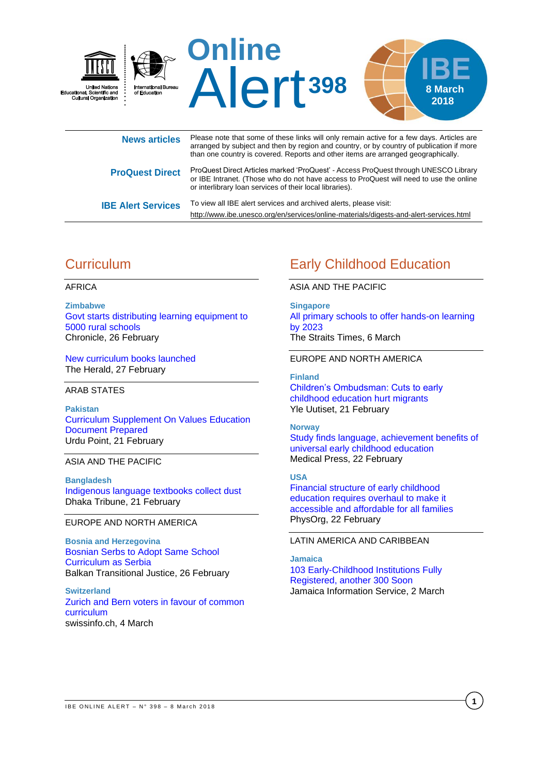

**ProQuest Direct** ProQuest Direct Articles marked 'ProQuest' - Access ProQuest through UNESCO Library or IBE Intranet. (Those who do not have access to ProQuest will need to use the online or interlibrary loan services of their local libraries). **IBE Alert Services** To view all IBE alert services and archived alerts, please visit:

# **Curriculum**

### AFRICA

**Zimbabwe** [Govt starts distributing learning equipment to](http://www.chronicle.co.zw/govt-starts-distributing-learning-equipment-to-5000-rural-schools/)  [5000 rural schools](http://www.chronicle.co.zw/govt-starts-distributing-learning-equipment-to-5000-rural-schools/) Chronicle, 26 February

[New curriculum books launched](https://www.herald.co.zw/new-curriculum-books-launched/) The Herald, 27 February

ARAB STATES

**Pakistan** [Curriculum Supplement On Values Education](https://www.urdupoint.com/en/education/curriculum-supplement-on-values-education-doc-265395.html)  [Document Prepared](https://www.urdupoint.com/en/education/curriculum-supplement-on-values-education-doc-265395.html) Urdu Point, 21 February

ASIA AND THE PACIFIC

**Bangladesh** [Indigenous language textbooks collect dust](http://www.dhakatribune.com/bangladesh/education/2018/02/21/textbooks-in-indigenous-languages-remain-shelved/) Dhaka Tribune, 21 February

# EUROPE AND NORTH AMERICA

**Bosnia and Herzegovina** [Bosnian Serbs to Adopt Same School](http://www.balkaninsight.com/en/article/the-same-curriculum-for-pupils-in-serbia-and-rs-02-23-2018)  [Curriculum as Serbia](http://www.balkaninsight.com/en/article/the-same-curriculum-for-pupils-in-serbia-and-rs-02-23-2018) Balkan Transitional Justice, 26 February

**Switzerland** [Zurich and Bern voters in favour of common](https://www.swissinfo.ch/eng/education_zurich-and-bern-voters-in-favour-of-common-curriculum/43944858)  [curriculum](https://www.swissinfo.ch/eng/education_zurich-and-bern-voters-in-favour-of-common-curriculum/43944858) swissinfo.ch, 4 March

# Early Childhood Education

## ASIA AND THE PACIFIC

<http://www.ibe.unesco.org/en/services/online-materials/digests-and-alert-services.html>

**Singapore** [All primary schools to offer hands-on learning](http://www.straitstimes.com/singapore/education/all-primary-schools-to-offer-hands-on-learning-by-2023)  [by 2023](http://www.straitstimes.com/singapore/education/all-primary-schools-to-offer-hands-on-learning-by-2023) The Straits Times, 6 March

### EUROPE AND NORTH AMERICA

### **Finland**

[Children's Ombudsman: Cuts to early](https://yle.fi/uutiset/osasto/news/childrens_ombudsman_cuts_to_early_childhood_education_hurt_migrants/10085675)  [childhood education hurt migrants](https://yle.fi/uutiset/osasto/news/childrens_ombudsman_cuts_to_early_childhood_education_hurt_migrants/10085675) Yle Uutiset, 21 February

#### **Norway**

[Study finds language, achievement benefits of](https://medicalxpress.com/news/2018-02-language-benefits-universal-early-childhood.html)  [universal early childhood education](https://medicalxpress.com/news/2018-02-language-benefits-universal-early-childhood.html) Medical Press, 22 February

#### **USA**

[Financial structure of early childhood](https://phys.org/news/2018-02-financial-early-childhood-requires-overhaul.html)  [education requires overhaul to make it](https://phys.org/news/2018-02-financial-early-childhood-requires-overhaul.html)  [accessible and affordable for all families](https://phys.org/news/2018-02-financial-early-childhood-requires-overhaul.html) PhysOrg, 22 February

## LATIN AMERICA AND CARIBBEAN

**Jamaica** [103 Early-Childhood Institutions Fully](https://jis.gov.jm/103-early-childhood-institutions-fully-registered-another-300-soon/)  [Registered, another](https://jis.gov.jm/103-early-childhood-institutions-fully-registered-another-300-soon/) 300 Soon Jamaica Information Service, 2 March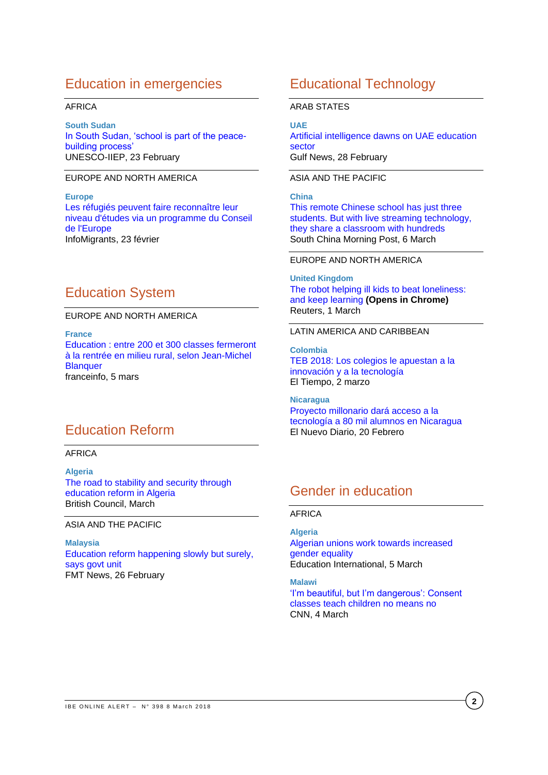# Education in emergencies

## AFRICA

**South Sudan** [In South Sudan, 'school is part of the peace](http://www.iiep.unesco.org/en/south-sudan-school-part-peace-building-process-4400)[building process'](http://www.iiep.unesco.org/en/south-sudan-school-part-peace-building-process-4400) UNESCO-IIEP, 23 February

## EUROPE AND NORTH AMERICA

**Europe** [Les réfugiés peuvent faire reconnaître leur](http://www.infomigrants.net/fr/post/7554/les-refugies-peuvent-faire-reconnaitre-leur-niveau-d-etudes-via-un-programme-du-conseil-de-l-europe)  [niveau d'études via un programme du Conseil](http://www.infomigrants.net/fr/post/7554/les-refugies-peuvent-faire-reconnaitre-leur-niveau-d-etudes-via-un-programme-du-conseil-de-l-europe)  [de l'Europe](http://www.infomigrants.net/fr/post/7554/les-refugies-peuvent-faire-reconnaitre-leur-niveau-d-etudes-via-un-programme-du-conseil-de-l-europe) InfoMigrants, 23 février

# Education System

### EUROPE AND NORTH AMERICA

**France**

Education : entre 200 et 300 [classes fermeront](https://www.francetvinfo.fr/societe/education/education-entre-200-et-300-classes-fermeront-a-la-rentree-en-milieu-rural-selon-jean-michel-blanquer_2641440.html)  [à la rentrée en milieu rural, selon](https://www.francetvinfo.fr/societe/education/education-entre-200-et-300-classes-fermeront-a-la-rentree-en-milieu-rural-selon-jean-michel-blanquer_2641440.html) Jean-Michel **[Blanquer](https://www.francetvinfo.fr/societe/education/education-entre-200-et-300-classes-fermeront-a-la-rentree-en-milieu-rural-selon-jean-michel-blanquer_2641440.html)** franceinfo, 5 mars

# Education Reform

### AFRICA

**Algeria** [The road to stability and security through](https://www.britishcouncil.org/partner/international-development/news-and-events/march-2018/The-road-to-stability-and-security-through-education-reform-in-Algeria)  [education reform in Algeria](https://www.britishcouncil.org/partner/international-development/news-and-events/march-2018/The-road-to-stability-and-security-through-education-reform-in-Algeria) British Council, March

ASIA AND THE PACIFIC

**Malaysia** [Education reform happening slowly but surely,](http://www.freemalaysiatoday.com/category/nation/2018/02/26/education-reform-happening-slowly-but-surely-says-govt-unit/)  [says govt unit](http://www.freemalaysiatoday.com/category/nation/2018/02/26/education-reform-happening-slowly-but-surely-says-govt-unit/) FMT News, 26 February

# Educational Technology

### ARAB STATES

### **UAE**

[Artificial intelligence dawns on UAE education](http://gulfnews.com/news/uae/education/artificial-intelligence-dawns-on-uae-education-sector-1.2178820)  [sector](http://gulfnews.com/news/uae/education/artificial-intelligence-dawns-on-uae-education-sector-1.2178820) Gulf News, 28 February

## ASIA AND THE PACIFIC

# **China**

[This remote Chinese school has just three](http://www.scmp.com/tech/china-tech/article/2135718/china-connects-remote-schools-technology-part-goal-eliminate-poverty)  [students. But with live streaming technology,](http://www.scmp.com/tech/china-tech/article/2135718/china-connects-remote-schools-technology-part-goal-eliminate-poverty)  [they share a classroom with hundreds](http://www.scmp.com/tech/china-tech/article/2135718/china-connects-remote-schools-technology-part-goal-eliminate-poverty) South China Morning Post, 6 March

### EUROPE AND NORTH AMERICA

**United Kingdom** [The robot helping ill kids to beat loneliness:](https://www.reuters.com/article/us-europe-education-healthcare/the-robot-helping-ill-kids-to-beat-loneliness-and-keep-learning-idUSKCN1GD56T)  and keep learning **[\(Opens in Chrome\)](https://www.reuters.com/article/us-europe-education-healthcare/the-robot-helping-ill-kids-to-beat-loneliness-and-keep-learning-idUSKCN1GD56T)** Reuters, 1 March

## LATIN AMERICA AND CARIBBEAN

**Colombia** [TEB 2018: Los colegios le apuestan a la](http://www.eltiempo.com/tecnosfera/colegios-se-reunen-en-teb-para-desarrollar-proyectos-tecnologicos-189130)  [innovación y a la tecnología](http://www.eltiempo.com/tecnosfera/colegios-se-reunen-en-teb-para-desarrollar-proyectos-tecnologicos-189130) El Tiempo, 2 marzo

**Nicaragua** [Proyecto millonario dará acceso a la](https://www.elnuevodiario.com.ni/nacionales/456390-proyecto-millonario-dara-acceso-tecnologia-80-mil/)  [tecnología a 80 mil alumnos en Nicaragua](https://www.elnuevodiario.com.ni/nacionales/456390-proyecto-millonario-dara-acceso-tecnologia-80-mil/) El Nuevo Diario, 20 Febrero

# Gender in education

### AFRICA

**Algeria** [Algerian unions work towards increased](https://www.ei-ie.org/en/detail/15723/algerian-unions-work-towards-increased-gender-equality)  [gender equality](https://www.ei-ie.org/en/detail/15723/algerian-unions-work-towards-increased-gender-equality) Education International, 5 March

**Malawi** ['I'm beautiful, but I'm dangerous': Consent](https://edition.cnn.com/2018/03/04/africa/malawi-consent-classes-asequals-intl/)  [classes teach children no means no](https://edition.cnn.com/2018/03/04/africa/malawi-consent-classes-asequals-intl/) CNN, 4 March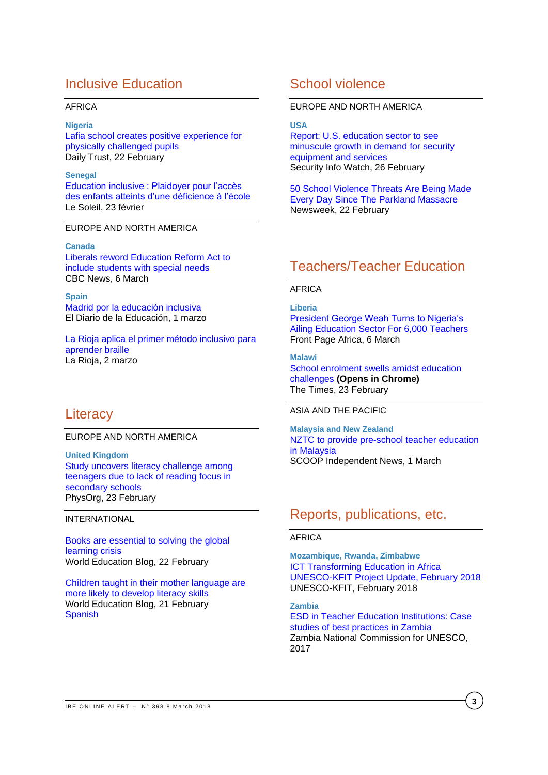# Inclusive Education

### AFRICA

### **Nigeria**

[Lafia school creates positive experience for](https://www.dailytrust.com.ng/lafia-school-creates-positive-experience-for-physically-challenged-pupils.html)  [physically challenged pupils](https://www.dailytrust.com.ng/lafia-school-creates-positive-experience-for-physically-challenged-pupils.html)  Daily Trust, 22 February

### **Senegal**

[Education inclusive : Plaidoyer pour l'accès](http://www.lesoleil.sn/actualites/item/76090-education-inclusive-plaidoyer-pour-l-acces-des-enfants-atteints-d-une-deficience-a-l-ecole.html)  [des enfants atteints d'une déficience](http://www.lesoleil.sn/actualites/item/76090-education-inclusive-plaidoyer-pour-l-acces-des-enfants-atteints-d-une-deficience-a-l-ecole.html) à l'école Le Soleil, 23 février

## EUROPE AND NORTH AMERICA

### **Canada**

[Liberals reword Education Reform Act to](http://www.cbc.ca/news/canada/nova-scotia/education-zach-churchill-inclusion-special-needs-students-1.4563705)  [include students with special needs](http://www.cbc.ca/news/canada/nova-scotia/education-zach-churchill-inclusion-special-needs-students-1.4563705)  CBC News, 6 March

**Spain** [Madrid por la educación inclusiva](http://eldiariodelaeducacion.com/blog/2018/03/01/madrid-la-educacion-inclusiva/) El Diario de la Educación, 1 marzo

[La Rioja aplica el primer método inclusivo para](http://www.larioja.com/la-rioja/rioja-aplica-primer-20180302144054-nt.html)  [aprender braille](http://www.larioja.com/la-rioja/rioja-aplica-primer-20180302144054-nt.html) La Rioja, 2 marzo

# **Literacy**

## EUROPE AND NORTH AMERICA

**United Kingdom** [Study uncovers literacy challenge among](https://phys.org/news/2018-02-uncovers-literacy-teenagers-due-lack.html)  [teenagers due to lack of reading focus in](https://phys.org/news/2018-02-uncovers-literacy-teenagers-due-lack.html)  [secondary schools](https://phys.org/news/2018-02-uncovers-literacy-teenagers-due-lack.html) PhysOrg, 23 February

### INTERNATIONAL

[Books are essential to solving the global](https://gemreportunesco.wordpress.com/2018/02/23/books-are-essential-to-solving-the-global-learning-crisis/)  [learning crisis](https://gemreportunesco.wordpress.com/2018/02/23/books-are-essential-to-solving-the-global-learning-crisis/) World Education Blog, 22 February

[Children taught in their mother language are](https://gemreportunesco.wordpress.com/2018/02/21/children-taught-in-their-mother-language-are-more-likely-to-develop-literacy-skills/)  [more likely to develop literacy skills](https://gemreportunesco.wordpress.com/2018/02/21/children-taught-in-their-mother-language-are-more-likely-to-develop-literacy-skills/) World Education Blog, 21 February **[Spanish](https://educacionmundialblog.wordpress.com/2018/02/21/los-ninos-que-aprenden-en-su-lengua-materna-tienen-mas-probabilidades-de-desarrollar-habilidades-de-alfabetizacion/)** 

# School violence

## EUROPE AND NORTH AMERICA

### **USA**

[Report: U.S. education sector to see](http://www.securityinfowatch.com/news/12400036/report-us-education-sector-to-see-minuscule-growth-in-demand-for-security-equipment-and-services)  [minuscule growth in demand for security](http://www.securityinfowatch.com/news/12400036/report-us-education-sector-to-see-minuscule-growth-in-demand-for-security-equipment-and-services)  [equipment and services](http://www.securityinfowatch.com/news/12400036/report-us-education-sector-to-see-minuscule-growth-in-demand-for-security-equipment-and-services) Security Info Watch, 26 February

[50 School Violence Threats Are Being Made](http://www.newsweek.com/50-school-violence-threats-are-being-made-every-day-parkland-massacre-815699)  [Every Day Since The Parkland Massacre](http://www.newsweek.com/50-school-violence-threats-are-being-made-every-day-parkland-massacre-815699) Newsweek, 22 February

# Teachers/Teacher Education

# AFRICA

### **Liberia**

[President George Weah Turns to Nigeria's](https://www.frontpageafricaonline.com/index.php/news/7126-president-george-weah-turns-to-nigeria-s-ailing-education-sector-for-6-000-teachers)  [Ailing Education Sector For 6,000 Teachers](https://www.frontpageafricaonline.com/index.php/news/7126-president-george-weah-turns-to-nigeria-s-ailing-education-sector-for-6-000-teachers) Front Page Africa, 6 March

### **Malawi**

[School enrolment swells amidst education](http://www.times.mw/school-enrolment-swells-amidst-education-challenges/)  challenges **[\(Opens in Chrome\)](http://www.times.mw/school-enrolment-swells-amidst-education-challenges/)** The Times, 23 February

#### ASIA AND THE PACIFIC

**Malaysia and New Zealand** [NZTC to provide pre-school teacher education](http://www.scoop.co.nz/stories/ED1803/S00008/nztc-to-provide-pre-school-teacher-education-in-malaysia.htm)  [in Malaysia](http://www.scoop.co.nz/stories/ED1803/S00008/nztc-to-provide-pre-school-teacher-education-in-malaysia.htm) SCOOP Independent News, 1 March

# Reports, publications, etc.

## AFRICA

**Mozambique, Rwanda, Zimbabwe** [ICT Transforming Education in Africa](http://unesdoc.unesco.org/images/0026/002615/261534e.pdf)  [UNESCO-KFIT Project Update, February 2018](http://unesdoc.unesco.org/images/0026/002615/261534e.pdf)  UNESCO-KFIT, February 2018

### **Zambia**

[ESD in Teacher Education Institutions: Case](http://unesdoc.unesco.org/images/0026/002615/261547e.pdf)  [studies of best practices in Zambia](http://unesdoc.unesco.org/images/0026/002615/261547e.pdf)  Zambia National Commission for UNESCO, 2017

**3**